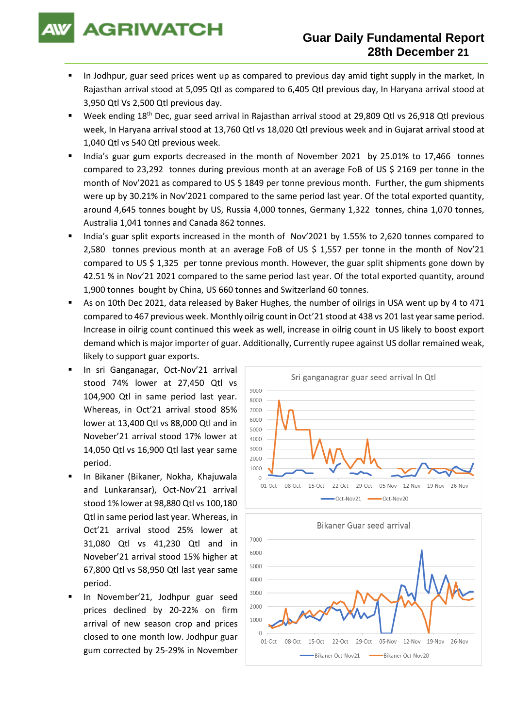**AGRIWATCH** 

- In Jodhpur, guar seed prices went up as compared to previous day amid tight supply in the market, In Rajasthan arrival stood at 5,095 Qtl as compared to 6,405 Qtl previous day, In Haryana arrival stood at 3,950 Qtl Vs 2,500 Qtl previous day.
- Week ending 18<sup>th</sup> Dec, guar seed arrival in Rajasthan arrival stood at 29,809 Qtl vs 26,918 Qtl previous week, In Haryana arrival stood at 13,760 Qtl vs 18,020 Qtl previous week and in Gujarat arrival stood at 1,040 Qtl vs 540 Qtl previous week.
- India's guar gum exports decreased in the month of November 2021 by 25.01% to 17,466 tonnes compared to 23,292 tonnes during previous month at an average FoB of US \$ 2169 per tonne in the month of Nov'2021 as compared to US \$ 1849 per tonne previous month. Further, the gum shipments were up by 30.21% in Nov'2021 compared to the same period last year. Of the total exported quantity, around 4,645 tonnes bought by US, Russia 4,000 tonnes, Germany 1,322 tonnes, china 1,070 tonnes, Australia 1,041 tonnes and Canada 862 tonnes.
- India's guar split exports increased in the month of Nov'2021 by 1.55% to 2,620 tonnes compared to 2,580 tonnes previous month at an average FoB of US \$ 1,557 per tonne in the month of Nov'21 compared to US \$ 1,325 per tonne previous month. However, the guar split shipments gone down by 42.51 % in Nov'21 2021 compared to the same period last year. Of the total exported quantity, around 1,900 tonnes bought by China, US 660 tonnes and Switzerland 60 tonnes.
- As on 10th Dec 2021, data released by Baker Hughes, the number of oilrigs in USA went up by 4 to 471 compared to 467 previous week. Monthly oilrig count in Oct'21 stood at 438 vs 201 last year same period. Increase in oilrig count continued this week as well, increase in oilrig count in US likely to boost export demand which is major importer of guar. Additionally, Currently rupee against US dollar remained weak, likely to support guar exports.
- In sri Ganganagar, Oct-Nov'21 arrival stood 74% lower at 27,450 Qtl vs 104,900 Qtl in same period last year. Whereas, in Oct'21 arrival stood 85% lower at 13,400 Qtl vs 88,000 Qtl and in Noveber'21 arrival stood 17% lower at 14,050 Qtl vs 16,900 Qtl last year same period.
- In Bikaner (Bikaner, Nokha, Khajuwala and Lunkaransar), Oct-Nov'21 arrival stood 1% lower at 98,880 Qtl vs 100,180 Qtl in same period last year. Whereas, in Oct'21 arrival stood 25% lower at 31,080 Qtl vs 41,230 Qtl and in Noveber'21 arrival stood 15% higher at 67,800 Qtl vs 58,950 Qtl last year same period.
- In November'21, Jodhpur guar seed prices declined by 20-22% on firm arrival of new season crop and prices closed to one month low. Jodhpur guar gum corrected by 25-29% in November



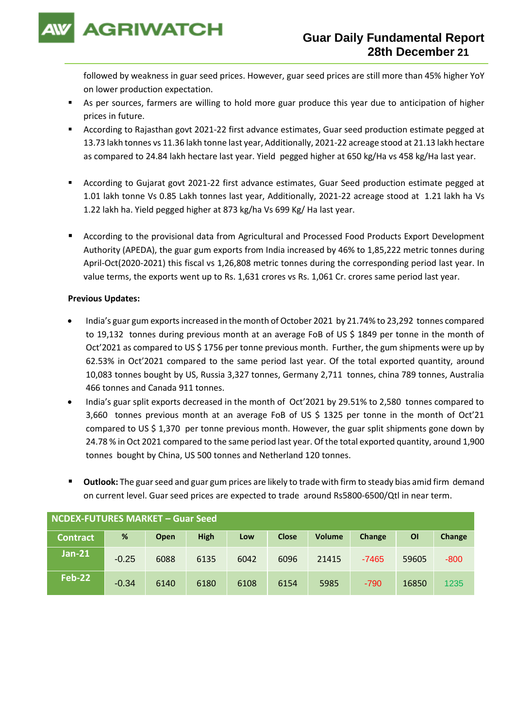

followed by weakness in guar seed prices. However, guar seed prices are still more than 45% higher YoY on lower production expectation.

- As per sources, farmers are willing to hold more guar produce this year due to anticipation of higher prices in future.
- According to Rajasthan govt 2021-22 first advance estimates, Guar seed production estimate pegged at 13.73 lakh tonnes vs 11.36 lakh tonne last year, Additionally, 2021-22 acreage stood at 21.13 lakh hectare as compared to 24.84 lakh hectare last year. Yield pegged higher at 650 kg/Ha vs 458 kg/Ha last year.
- According to Gujarat govt 2021-22 first advance estimates, Guar Seed production estimate pegged at 1.01 lakh tonne Vs 0.85 Lakh tonnes last year, Additionally, 2021-22 acreage stood at 1.21 lakh ha Vs 1.22 lakh ha. Yield pegged higher at 873 kg/ha Vs 699 Kg/ Ha last year.
- According to the provisional data from Agricultural and Processed Food Products Export Development Authority (APEDA), the guar gum exports from India increased by 46% to 1,85,222 metric tonnes during April-Oct(2020-2021) this fiscal vs 1,26,808 metric tonnes during the corresponding period last year. In value terms, the exports went up to Rs. 1,631 crores vs Rs. 1,061 Cr. crores same period last year.

## **Previous Updates:**

- India's guar gum exports increased in the month of October 2021 by 21.74% to 23,292 tonnes compared to 19,132 tonnes during previous month at an average FoB of US \$ 1849 per tonne in the month of Oct'2021 as compared to US \$ 1756 per tonne previous month. Further, the gum shipments were up by 62.53% in Oct'2021 compared to the same period last year. Of the total exported quantity, around 10,083 tonnes bought by US, Russia 3,327 tonnes, Germany 2,711 tonnes, china 789 tonnes, Australia 466 tonnes and Canada 911 tonnes.
- India's guar split exports decreased in the month of Oct'2021 by 29.51% to 2,580 tonnes compared to 3,660 tonnes previous month at an average FoB of US \$ 1325 per tonne in the month of Oct'21 compared to US \$ 1,370 per tonne previous month. However, the guar split shipments gone down by 24.78 % in Oct 2021 compared to the same period last year. Of the total exported quantity, around 1,900 tonnes bought by China, US 500 tonnes and Netherland 120 tonnes.
- Outlook: The guar seed and guar gum prices are likely to trade with firm to steady bias amid firm demand on current level. Guar seed prices are expected to trade around Rs5800-6500/Qtl in near term.

| <b>NCDEX-FUTURES MARKET - Guar Seed</b> |         |             |             |      |              |               |         |           |        |
|-----------------------------------------|---------|-------------|-------------|------|--------------|---------------|---------|-----------|--------|
| <b>Contract</b>                         | %       | <b>Open</b> | <b>High</b> | Low  | <b>Close</b> | <b>Volume</b> | Change  | <b>OI</b> | Change |
| $Jan-21$                                | $-0.25$ | 6088        | 6135        | 6042 | 6096         | 21415         | $-7465$ | 59605     | $-800$ |
| Feb-22                                  | $-0.34$ | 6140        | 6180        | 6108 | 6154         | 5985          | $-790$  | 16850     | 1235   |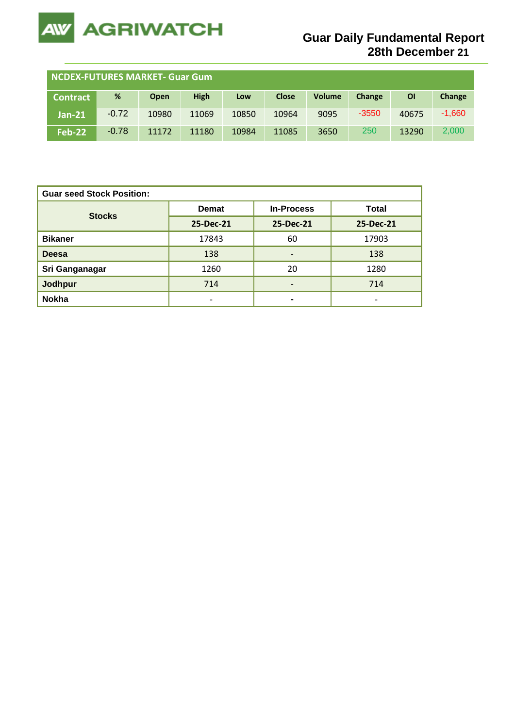

| <b>NCDEX-FUTURES MARKET- Guar Gum</b> |         |             |             |       |              |               |         |           |          |
|---------------------------------------|---------|-------------|-------------|-------|--------------|---------------|---------|-----------|----------|
| <b>Contract</b>                       | %       | <b>Open</b> | <b>High</b> | Low   | <b>Close</b> | <b>Volume</b> | Change  | <b>OI</b> | Change   |
| <b>Jan-21</b>                         | $-0.72$ | 10980       | 11069       | 10850 | 10964        | 9095          | $-3550$ | 40675     | $-1,660$ |
| <b>Feb-22</b>                         | $-0.78$ | 11172       | 11180       | 10984 | 11085        | 3650          | 250     | 13290     | 2,000    |

| <b>Guar seed Stock Position:</b> |                          |                          |                              |  |  |  |  |
|----------------------------------|--------------------------|--------------------------|------------------------------|--|--|--|--|
| <b>Stocks</b>                    | <b>Demat</b>             | <b>In-Process</b>        | <b>Total</b>                 |  |  |  |  |
|                                  | 25-Dec-21                | 25-Dec-21                | 25-Dec-21                    |  |  |  |  |
| <b>Bikaner</b>                   | 17843                    | 60                       | 17903                        |  |  |  |  |
| <b>Deesa</b>                     | 138                      | $\overline{\phantom{0}}$ | 138                          |  |  |  |  |
| Sri Ganganagar                   | 1260                     | 20                       | 1280                         |  |  |  |  |
| <b>Jodhpur</b>                   | 714                      | -                        | 714                          |  |  |  |  |
| <b>Nokha</b>                     | $\overline{\phantom{0}}$ | $\blacksquare$           | $\qquad \qquad \blacksquare$ |  |  |  |  |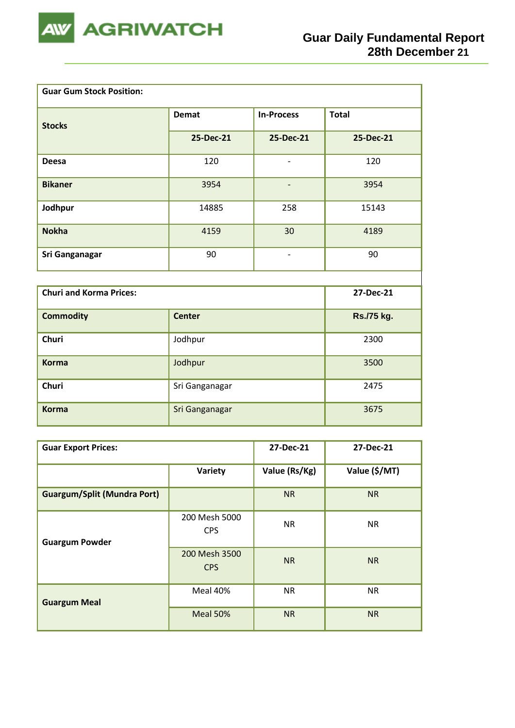

| <b>Guar Gum Stock Position:</b> |                |                          |              |
|---------------------------------|----------------|--------------------------|--------------|
| <b>Stocks</b>                   | <b>Demat</b>   | <b>In-Process</b>        | <b>Total</b> |
|                                 | 25-Dec-21      | 25-Dec-21                | 25-Dec-21    |
| <b>Deesa</b>                    | 120            | $\qquad \qquad -$        | 120          |
| <b>Bikaner</b>                  | 3954           | $\overline{\phantom{0}}$ | 3954         |
| Jodhpur                         | 14885          | 258                      | 15143        |
| <b>Nokha</b>                    | 4159           | 30                       | 4189         |
| Sri Ganganagar                  | 90             | $\overline{\phantom{a}}$ | 90           |
|                                 |                |                          |              |
| <b>Churi and Korma Prices:</b>  |                |                          | 27-Dec-21    |
| <b>Commodity</b>                | <b>Center</b>  |                          | Rs./75 kg.   |
| <b>Churi</b>                    | Jodhpur        | 2300                     |              |
| <b>Korma</b>                    | Jodhpur        | 3500                     |              |
| <b>Churi</b>                    | Sri Ganganagar | 2475                     |              |
| <b>Korma</b>                    | Sri Ganganagar |                          | 3675         |

| <b>Guar Export Prices:</b>         | 27-Dec-21                   | 27-Dec-21     |               |
|------------------------------------|-----------------------------|---------------|---------------|
|                                    | Variety                     | Value (Rs/Kg) | Value (\$/MT) |
| <b>Guargum/Split (Mundra Port)</b> |                             | <b>NR</b>     | <b>NR</b>     |
| <b>Guargum Powder</b>              | 200 Mesh 5000<br><b>CPS</b> | <b>NR</b>     | <b>NR</b>     |
|                                    | 200 Mesh 3500<br><b>CPS</b> | <b>NR</b>     | <b>NR</b>     |
| <b>Guargum Meal</b>                | Meal 40%                    | <b>NR</b>     | <b>NR</b>     |
|                                    | Meal 50%                    | <b>NR</b>     | <b>NR</b>     |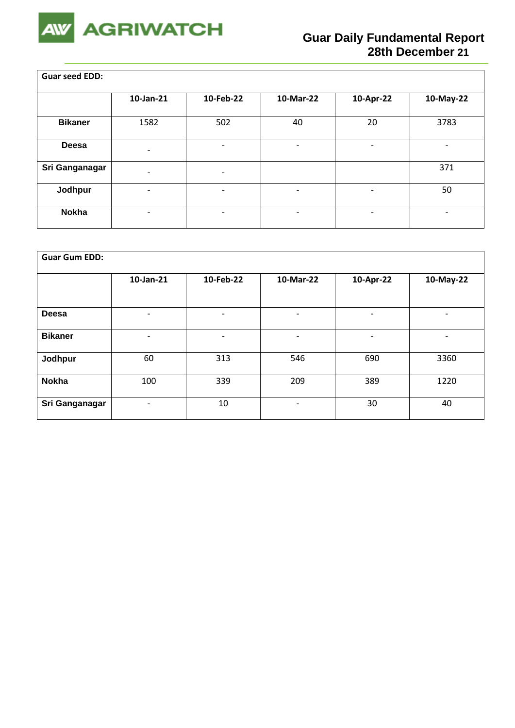

 $\overline{\phantom{a}}$ 

| <b>Guar seed EDD:</b> |                              |                          |                          |                          |                          |  |  |  |
|-----------------------|------------------------------|--------------------------|--------------------------|--------------------------|--------------------------|--|--|--|
|                       | 10-Jan-21                    | 10-Feb-22                | 10-Mar-22                | 10-Apr-22                | 10-May-22                |  |  |  |
| <b>Bikaner</b>        | 1582                         | 502                      | 40                       | 20                       | 3783                     |  |  |  |
| <b>Deesa</b>          | $\qquad \qquad \blacksquare$ |                          | $\overline{\phantom{0}}$ | -                        | $\overline{\phantom{a}}$ |  |  |  |
| Sri Ganganagar        | $\overline{\phantom{0}}$     | $\overline{\phantom{a}}$ |                          |                          | 371                      |  |  |  |
| Jodhpur               | $\overline{\phantom{0}}$     |                          |                          | -                        | 50                       |  |  |  |
| <b>Nokha</b>          | -                            |                          | $\qquad \qquad$          | $\overline{\phantom{a}}$ | $\overline{\phantom{a}}$ |  |  |  |

| <b>Guar Gum EDD:</b> |                              |                          |                          |           |                          |
|----------------------|------------------------------|--------------------------|--------------------------|-----------|--------------------------|
|                      | 10-Jan-21                    | 10-Feb-22                | 10-Mar-22                | 10-Apr-22 | 10-May-22                |
|                      |                              |                          |                          |           |                          |
| <b>Deesa</b>         | $\qquad \qquad \blacksquare$ | $\overline{\phantom{0}}$ | $\qquad \qquad$          |           | -                        |
| <b>Bikaner</b>       | $\overline{\phantom{a}}$     | $\overline{\phantom{a}}$ | $\qquad \qquad$          | -         | $\overline{\phantom{0}}$ |
| Jodhpur              | 60                           | 313                      | 546                      | 690       | 3360                     |
| <b>Nokha</b>         | 100                          | 339                      | 209                      | 389       | 1220                     |
| Sri Ganganagar       | ٠                            | 10                       | $\overline{\phantom{0}}$ | 30        | 40                       |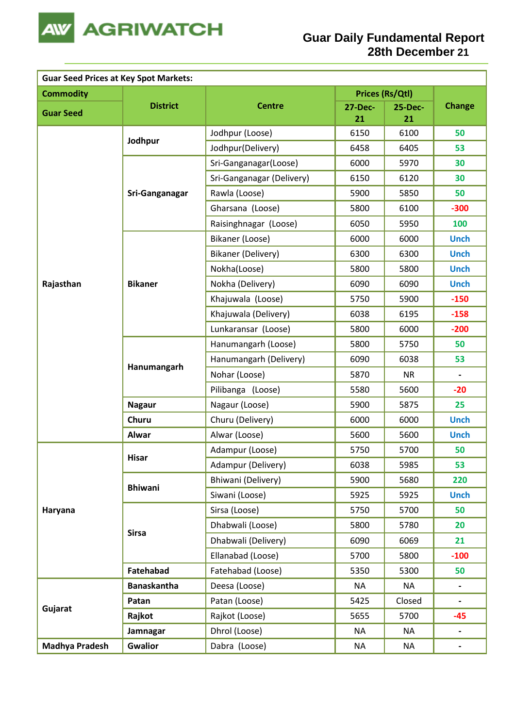

| <b>Guar Seed Prices at Key Spot Markets:</b> |                    |                           |                 |                |                          |
|----------------------------------------------|--------------------|---------------------------|-----------------|----------------|--------------------------|
| <b>Commodity</b>                             |                    |                           | Prices (Rs/Qtl) |                |                          |
| <b>Guar Seed</b>                             | <b>District</b>    | <b>Centre</b>             | <b>27-Dec-</b>  | <b>25-Dec-</b> | <b>Change</b>            |
|                                              |                    |                           | 21              | 21<br>6100     | 50                       |
|                                              | Jodhpur            | Jodhpur (Loose)           | 6150            |                |                          |
|                                              |                    | Jodhpur(Delivery)         | 6458            | 6405           | 53                       |
|                                              |                    | Sri-Ganganagar(Loose)     | 6000            | 5970           | 30                       |
|                                              |                    | Sri-Ganganagar (Delivery) | 6150            | 6120           | 30                       |
|                                              | Sri-Ganganagar     | Rawla (Loose)             | 5900            | 5850           | 50                       |
|                                              |                    | Gharsana (Loose)          | 5800            | 6100           | $-300$                   |
|                                              |                    | Raisinghnagar (Loose)     | 6050            | 5950           | 100                      |
|                                              |                    | Bikaner (Loose)           | 6000            | 6000           | <b>Unch</b>              |
|                                              |                    | Bikaner (Delivery)        | 6300            | 6300           | <b>Unch</b>              |
|                                              |                    | Nokha(Loose)              | 5800            | 5800           | <b>Unch</b>              |
| Rajasthan                                    | <b>Bikaner</b>     | Nokha (Delivery)          | 6090            | 6090           | <b>Unch</b>              |
|                                              |                    | Khajuwala (Loose)         | 5750            | 5900           | $-150$                   |
|                                              |                    | Khajuwala (Delivery)      | 6038            | 6195           | $-158$                   |
|                                              |                    | Lunkaransar (Loose)       | 5800            | 6000           | $-200$                   |
|                                              | Hanumangarh        | Hanumangarh (Loose)       | 5800            | 5750           | 50                       |
|                                              |                    | Hanumangarh (Delivery)    | 6090            | 6038           | 53                       |
|                                              |                    | Nohar (Loose)             | 5870            | <b>NR</b>      |                          |
|                                              |                    | Pilibanga (Loose)         | 5580            | 5600           | $-20$                    |
|                                              | <b>Nagaur</b>      | Nagaur (Loose)            | 5900            | 5875           | 25                       |
|                                              | Churu              | Churu (Delivery)          | 6000            | 6000           | <b>Unch</b>              |
|                                              | <b>Alwar</b>       | Alwar (Loose)             | 5600            | 5600           | <b>Unch</b>              |
|                                              |                    | Adampur (Loose)           | 5750            | 5700           | 50                       |
|                                              | <b>Hisar</b>       | Adampur (Delivery)        | 6038            | 5985           | 53                       |
|                                              |                    | Bhiwani (Delivery)        | 5900            | 5680           | 220                      |
|                                              | <b>Bhiwani</b>     | Siwani (Loose)            | 5925            | 5925           | <b>Unch</b>              |
| Haryana                                      |                    | Sirsa (Loose)             | 5750            | 5700           | 50                       |
|                                              |                    | Dhabwali (Loose)          | 5800            | 5780           | 20                       |
|                                              | <b>Sirsa</b>       | Dhabwali (Delivery)       | 6090            | 6069           | 21                       |
|                                              |                    | Ellanabad (Loose)         | 5700            | 5800           | $-100$                   |
|                                              | Fatehabad          | Fatehabad (Loose)         | 5350            | 5300           | 50                       |
|                                              | <b>Banaskantha</b> | Deesa (Loose)             | <b>NA</b>       | <b>NA</b>      | $\overline{\phantom{a}}$ |
|                                              | Patan              | Patan (Loose)             | 5425            | Closed         | $\overline{\phantom{a}}$ |
| Gujarat                                      | Rajkot             | Rajkot (Loose)            | 5655            | 5700           | $-45$                    |
|                                              | Jamnagar           | Dhrol (Loose)             | <b>NA</b>       | <b>NA</b>      | $\blacksquare$           |
| <b>Madhya Pradesh</b>                        | <b>Gwalior</b>     | Dabra (Loose)             | <b>NA</b>       | <b>NA</b>      | $\blacksquare$           |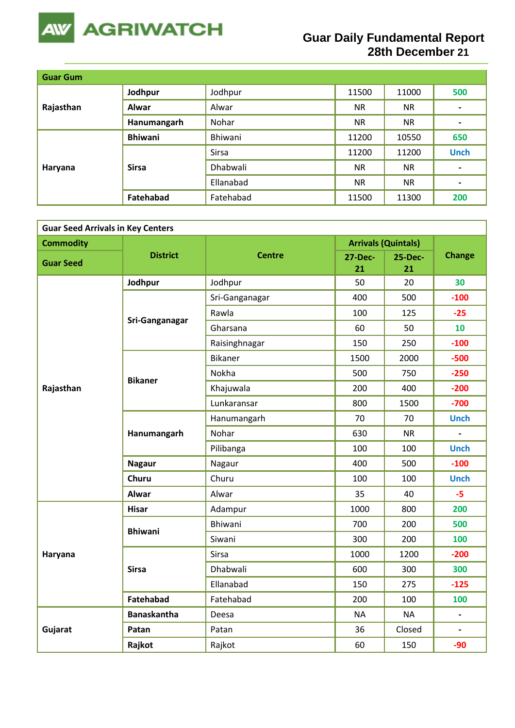

## **Guar Daily Fundamental Report 28th December 21**

| <b>Guar Gum</b> |                |              |           |           |                |
|-----------------|----------------|--------------|-----------|-----------|----------------|
| Rajasthan       | Jodhpur        | Jodhpur      | 11500     | 11000     | 500            |
|                 | <b>Alwar</b>   | Alwar        | <b>NR</b> | <b>NR</b> | $\blacksquare$ |
|                 | Hanumangarh    | Nohar        | <b>NR</b> | <b>NR</b> | $\hbox{ }$     |
|                 | <b>Bhiwani</b> | Bhiwani      | 11200     | 10550     | 650            |
|                 | <b>Sirsa</b>   | <b>Sirsa</b> | 11200     | 11200     | <b>Unch</b>    |
| Haryana         |                | Dhabwali     | <b>NR</b> | <b>NR</b> | $\blacksquare$ |
|                 |                | Ellanabad    | <b>NR</b> | <b>NR</b> | $\hbox{ }$     |
|                 | Fatehabad      | Fatehabad    | 11500     | 11300     | 200            |

| <b>Guar Seed Arrivals in Key Centers</b> |                    |                |                      |                            |                          |  |  |  |
|------------------------------------------|--------------------|----------------|----------------------|----------------------------|--------------------------|--|--|--|
| <b>Commodity</b>                         |                    |                |                      | <b>Arrivals (Quintals)</b> |                          |  |  |  |
| <b>Guar Seed</b>                         | <b>District</b>    | <b>Centre</b>  | <b>27-Dec-</b><br>21 | <b>25-Dec-</b><br>21       | <b>Change</b>            |  |  |  |
|                                          | Jodhpur            | Jodhpur        | 50                   | 20                         | 30                       |  |  |  |
|                                          |                    | Sri-Ganganagar | 400                  | 500                        | $-100$                   |  |  |  |
|                                          | Sri-Ganganagar     | Rawla          | 100                  | 125                        | $-25$                    |  |  |  |
|                                          |                    | Gharsana       | 60                   | 50                         | 10                       |  |  |  |
|                                          |                    | Raisinghnagar  | 150                  | 250                        | $-100$                   |  |  |  |
|                                          |                    | <b>Bikaner</b> | 1500                 | 2000                       | $-500$                   |  |  |  |
|                                          |                    | Nokha          | 500                  | 750                        | $-250$                   |  |  |  |
| Rajasthan                                | <b>Bikaner</b>     | Khajuwala      | 200                  | 400                        | $-200$                   |  |  |  |
|                                          |                    | Lunkaransar    | 800                  | 1500                       | $-700$                   |  |  |  |
|                                          | Hanumangarh        | Hanumangarh    | 70                   | 70                         | <b>Unch</b>              |  |  |  |
|                                          |                    | Nohar          | 630                  | <b>NR</b>                  |                          |  |  |  |
|                                          |                    | Pilibanga      | 100                  | 100                        | <b>Unch</b>              |  |  |  |
|                                          | <b>Nagaur</b>      | Nagaur         | 400                  | 500                        | $-100$                   |  |  |  |
|                                          | <b>Churu</b>       | Churu          | 100                  | 100                        | <b>Unch</b>              |  |  |  |
|                                          | <b>Alwar</b>       | Alwar          | 35                   | 40                         | $-5$                     |  |  |  |
|                                          | <b>Hisar</b>       | Adampur        | 1000                 | 800                        | 200                      |  |  |  |
|                                          | <b>Bhiwani</b>     | <b>Bhiwani</b> | 700                  | 200                        | 500                      |  |  |  |
|                                          |                    | Siwani         | 300                  | 200                        | 100                      |  |  |  |
| Haryana                                  |                    | Sirsa          | 1000                 | 1200                       | $-200$                   |  |  |  |
|                                          | <b>Sirsa</b>       | Dhabwali       | 600                  | 300                        | 300                      |  |  |  |
|                                          |                    | Ellanabad      | 150                  | 275                        | $-125$                   |  |  |  |
|                                          | <b>Fatehabad</b>   | Fatehabad      | 200                  | 100                        | 100                      |  |  |  |
|                                          | <b>Banaskantha</b> | Deesa          | <b>NA</b>            | <b>NA</b>                  | $\overline{\phantom{a}}$ |  |  |  |
| Gujarat                                  | Patan              | Patan          | 36                   | Closed                     |                          |  |  |  |
|                                          | Rajkot             | Rajkot         | 60                   | 150                        | $-90$                    |  |  |  |